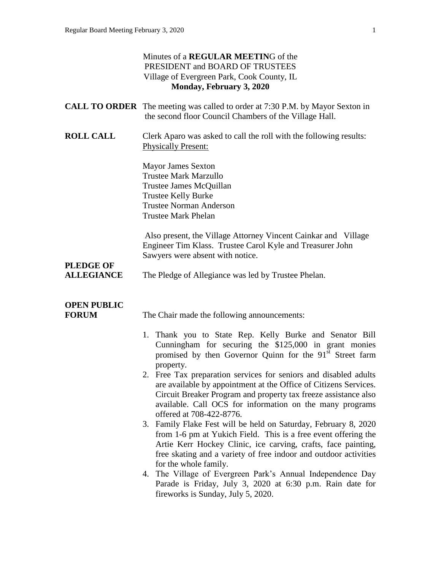|                                    | Minutes of a <b>REGULAR MEETING</b> of the<br>PRESIDENT and BOARD OF TRUSTEES<br>Village of Evergreen Park, Cook County, IL<br>Monday, February 3, 2020                                                                                                                                                                                                                                                                                                                                                                                                                                                                                                                                                        |
|------------------------------------|----------------------------------------------------------------------------------------------------------------------------------------------------------------------------------------------------------------------------------------------------------------------------------------------------------------------------------------------------------------------------------------------------------------------------------------------------------------------------------------------------------------------------------------------------------------------------------------------------------------------------------------------------------------------------------------------------------------|
|                                    | <b>CALL TO ORDER</b> The meeting was called to order at 7:30 P.M. by Mayor Sexton in<br>the second floor Council Chambers of the Village Hall.                                                                                                                                                                                                                                                                                                                                                                                                                                                                                                                                                                 |
| <b>ROLL CALL</b>                   | Clerk Aparo was asked to call the roll with the following results:<br><b>Physically Present:</b>                                                                                                                                                                                                                                                                                                                                                                                                                                                                                                                                                                                                               |
|                                    | <b>Mayor James Sexton</b><br><b>Trustee Mark Marzullo</b><br>Trustee James McQuillan<br><b>Trustee Kelly Burke</b><br><b>Trustee Norman Anderson</b><br><b>Trustee Mark Phelan</b>                                                                                                                                                                                                                                                                                                                                                                                                                                                                                                                             |
| <b>PLEDGE OF</b>                   | Also present, the Village Attorney Vincent Cainkar and Village<br>Engineer Tim Klass. Trustee Carol Kyle and Treasurer John<br>Sawyers were absent with notice.                                                                                                                                                                                                                                                                                                                                                                                                                                                                                                                                                |
| <b>ALLEGIANCE</b>                  | The Pledge of Allegiance was led by Trustee Phelan.                                                                                                                                                                                                                                                                                                                                                                                                                                                                                                                                                                                                                                                            |
| <b>OPEN PUBLIC</b><br><b>FORUM</b> | The Chair made the following announcements:                                                                                                                                                                                                                                                                                                                                                                                                                                                                                                                                                                                                                                                                    |
|                                    | 1. Thank you to State Rep. Kelly Burke and Senator Bill<br>Cunningham for securing the \$125,000 in grant monies<br>promised by then Governor Quinn for the 91 <sup>st</sup> Street farm<br>property.<br>2. Free Tax preparation services for seniors and disabled adults<br>are available by appointment at the Office of Citizens Services.<br>Circuit Breaker Program and property tax freeze assistance also<br>available. Call OCS for information on the many programs<br>offered at 708-422-8776.<br>3. Family Flake Fest will be held on Saturday, February 8, 2020<br>from 1-6 pm at Yukich Field. This is a free event offering the<br>Artie Kerr Hockey Clinic, ice carving, crafts, face painting, |
|                                    | free skating and a variety of free indoor and outdoor activities<br>for the whole family.<br>4. The Village of Evergreen Park's Annual Independence Day<br>Parade is Friday, July 3, 2020 at 6:30 p.m. Rain date for<br>fireworks is Sunday, July 5, 2020.                                                                                                                                                                                                                                                                                                                                                                                                                                                     |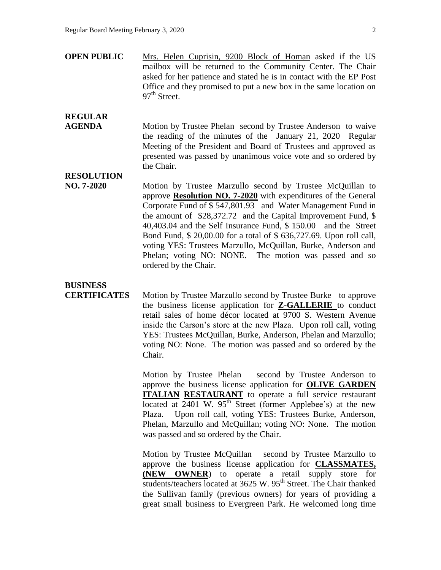**OPEN PUBLIC** Mrs. Helen Cuprisin, 9200 Block of Homan asked if the US mailbox will be returned to the Community Center. The Chair asked for her patience and stated he is in contact with the EP Post Office and they promised to put a new box in the same location on  $97<sup>th</sup>$  Street.

## **REGULAR**

**AGENDA** Motion by Trustee Phelan second by Trustee Anderson to waive the reading of the minutes of the January 21, 2020 Regular Meeting of the President and Board of Trustees and approved as presented was passed by unanimous voice vote and so ordered by the Chair.

**RESOLUTION** 

**NO. 7-2020** Motion by Trustee Marzullo second by Trustee McQuillan to approve **Resolution NO. 7-2020** with expenditures of the General Corporate Fund of \$ 547,801.93 and Water Management Fund in the amount of \$28,372.72 and the Capital Improvement Fund, \$ 40,403.04 and the Self Insurance Fund, \$ 150.00 and the Street Bond Fund, \$ 20,00.00 for a total of \$ 636,727.69. Upon roll call, voting YES: Trustees Marzullo, McQuillan, Burke, Anderson and Phelan; voting NO: NONE. The motion was passed and so ordered by the Chair.

## **BUSINESS**

**CERTIFICATES** Motion by Trustee Marzullo second by Trustee Burke to approve the business license application for **Z-GALLERIE** to conduct retail sales of home décor located at 9700 S. Western Avenue inside the Carson's store at the new Plaza. Upon roll call, voting YES: Trustees McQuillan, Burke, Anderson, Phelan and Marzullo; voting NO: None. The motion was passed and so ordered by the Chair.

> Motion by Trustee Phelan second by Trustee Anderson to approve the business license application for **OLIVE GARDEN ITALIAN RESTAURANT** to operate a full service restaurant located at  $2401$  W.  $95<sup>th</sup>$  Street (former Applebee's) at the new Plaza. Upon roll call, voting YES: Trustees Burke, Anderson, Phelan, Marzullo and McQuillan; voting NO: None. The motion was passed and so ordered by the Chair.

> Motion by Trustee McQuillan second by Trustee Marzullo to approve the business license application for **CLASSMATES, (NEW OWNER**) to operate a retail supply store for students/teachers located at 3625 W. 95<sup>th</sup> Street. The Chair thanked the Sullivan family (previous owners) for years of providing a great small business to Evergreen Park. He welcomed long time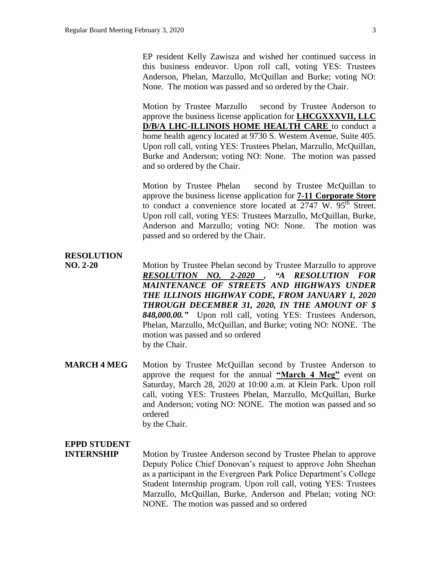EP resident Kelly Zawisza and wished her continued success in this business endeavor. Upon roll call, voting YES: Trustees Anderson, Phelan, Marzullo, McQuillan and Burke; voting NO: None. The motion was passed and so ordered by the Chair.

Motion by Trustee Marzullo second by Trustee Anderson to approve the business license application for **LHCGXXXVII, LLC D/B/A LHC-ILLINOIS HOME HEALTH CARE** to conduct a home health agency located at 9730 S. Western Avenue, Suite 405. Upon roll call, voting YES: Trustees Phelan, Marzullo, McQuillan, Burke and Anderson; voting NO: None. The motion was passed and so ordered by the Chair.

Motion by Trustee Phelan second by Trustee McQuillan to approve the business license application for **7-11 Corporate Store** to conduct a convenience store located at 2747 W. 95<sup>th</sup> Street. Upon roll call, voting YES: Trustees Marzullo, McQuillan, Burke, Anderson and Marzullo; voting NO: None. The motion was passed and so ordered by the Chair.

### **RESOLUTION**

- **NO. 2-20** Motion by Trustee Phelan second by Trustee Marzullo to approve *RESOLUTION NO. 2-2020 , "A RESOLUTION FOR MAINTENANCE OF STREETS AND HIGHWAYS UNDER THE ILLINOIS HIGHWAY CODE, FROM JANUARY 1, 2020 THROUGH DECEMBER 31, 2020, IN THE AMOUNT OF \$ 848,000.00."* Upon roll call, voting YES: Trustees Anderson, Phelan, Marzullo, McQuillan, and Burke; voting NO: NONE. The motion was passed and so ordered by the Chair.
- **MARCH 4 MEG** Motion by Trustee McQuillan second by Trustee Anderson to approve the request for the annual **"March 4 Meg"** event on Saturday, March 28, 2020 at 10:00 a.m. at Klein Park. Upon roll call, voting YES: Trustees Phelan, Marzullo, McQuillan, Burke and Anderson; voting NO: NONE. The motion was passed and so ordered by the Chair.

#### **EPPD STUDENT**

**INTERNSHIP** Motion by Trustee Anderson second by Trustee Phelan to approve Deputy Police Chief Donovan's request to approve John Sheehan as a participant in the Evergreen Park Police Department's College Student Internship program. Upon roll call, voting YES: Trustees Marzullo, McQuillan, Burke, Anderson and Phelan; voting NO: NONE. The motion was passed and so ordered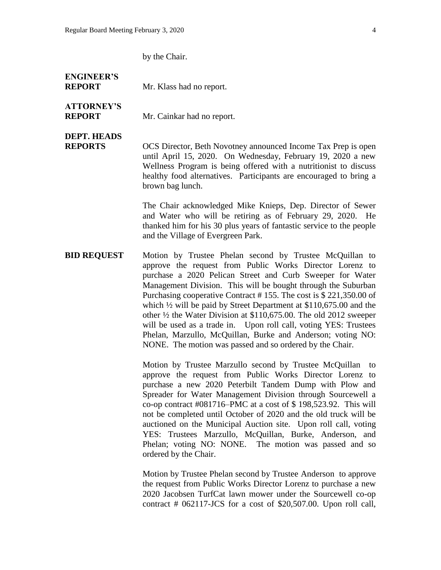by the Chair.

#### **ENGINEER'S REPORT** Mr. Klass had no report.

# **ATTORNEY'S**

**REPORT** Mr. Cainkar had no report.

## **DEPT. HEADS**

**REPORTS** OCS Director, Beth Novotney announced Income Tax Prep is open until April 15, 2020. On Wednesday, February 19, 2020 a new Wellness Program is being offered with a nutritionist to discuss healthy food alternatives. Participants are encouraged to bring a brown bag lunch.

> The Chair acknowledged Mike Knieps, Dep. Director of Sewer and Water who will be retiring as of February 29, 2020. He thanked him for his 30 plus years of fantastic service to the people and the Village of Evergreen Park.

**BID REQUEST** Motion by Trustee Phelan second by Trustee McQuillan to approve the request from Public Works Director Lorenz to purchase a 2020 Pelican Street and Curb Sweeper for Water Management Division. This will be bought through the Suburban Purchasing cooperative Contract # 155. The cost is \$ 221,350.00 of which ½ will be paid by Street Department at \$110,675.00 and the other ½ the Water Division at \$110,675.00. The old 2012 sweeper will be used as a trade in. Upon roll call, voting YES: Trustees Phelan, Marzullo, McQuillan, Burke and Anderson; voting NO: NONE. The motion was passed and so ordered by the Chair.

> Motion by Trustee Marzullo second by Trustee McQuillan to approve the request from Public Works Director Lorenz to purchase a new 2020 Peterbilt Tandem Dump with Plow and Spreader for Water Management Division through Sourcewell a co-op contract #081716–PMC at a cost of \$ 198,523.92. This will not be completed until October of 2020 and the old truck will be auctioned on the Municipal Auction site. Upon roll call, voting YES: Trustees Marzullo, McQuillan, Burke, Anderson, and Phelan; voting NO: NONE. The motion was passed and so ordered by the Chair.

> Motion by Trustee Phelan second by Trustee Anderson to approve the request from Public Works Director Lorenz to purchase a new 2020 Jacobsen TurfCat lawn mower under the Sourcewell co-op contract # 062117-JCS for a cost of \$20,507.00. Upon roll call,